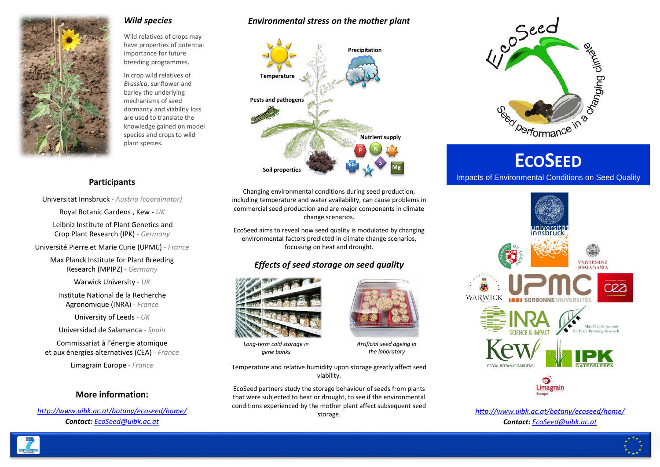

#### *Wild species*

Wild relatives of crops may have properties of potential importance for future breeding programmes.

In crop wild relatives of *Brassica*, sunflower and barley the underlying mechanisms of seed dormancy and viability loss are used to translate the knowledge gained on model species and crops to wild plant species.

## *Environmental stress on the mother plant*



# **Participants**

Universität Innsbruck - *Austria (coordinator)*

Royal Botanic Gardens , Kew - *UK*

Leibniz Institute of Plant Genetics and Crop Plant Research (IPK) - *Germany* 

Université Pierre et Marie Curie (UPMC) - *France* 

Max Planck Institute for Plant Breeding Research (MPIPZ) - *Germany* 

Warwick University - *UK* 

Institute National de la Recherche Agronomique (INRA) - *France* 

University of Leeds - *UK* 

Universidad de Salamanca - *Spain* 

Commissariat à l'énergie atomique et aux énergies alternatives (CEA) - *France* 

Limagrain Europe - *France* 

### **More information:**

*<http://www.uibk.ac.at/botany/ecoseed/home/> Contact: [EcoSeed@uibk.ac.at](mailto:EcoSeed@uibk.ac.at)*

Changing environmental conditions during seed production, including temperature and water availability, can cause problems in commercial seed production and are major components in climate change scenarios.

EcoSeed aims to reveal how seed quality is modulated by changing environmental factors predicted in climate change scenarios, focussing on heat and drought.

# *Effects of seed storage on seed quality*



*Long-term cold storage in gene banks*



*Artificial seed ageing in the laboratory* 

Temperature and relative humidity upon storage greatly affect seed viability.

EcoSeed partners study the storage behaviour of seeds from plants that were subjected to heat or drought, to see if the environmental conditions experienced by the mother plant affect subsequent seed storage.



# Impacts of Environmental Conditions on Seed Quality



*<http://www.uibk.ac.at/botany/ecoseed/home/> Contact: [EcoSeed@uibk.ac.at](mailto:EcoSeed@uibk.ac.at)*